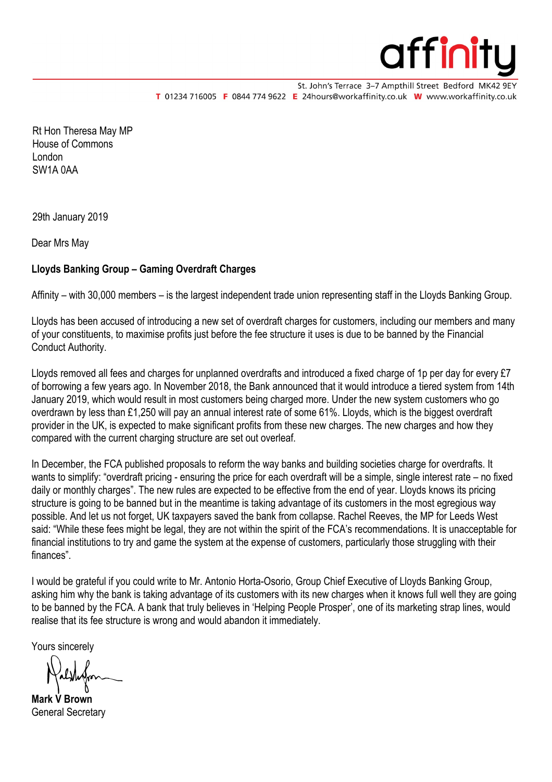

St. John's Terrace 3-7 Ampthill Street Bedford MK42 9EY T 01234 716005 F 0844 774 9622 E 24hours@workaffinity.co.uk W www.workaffinity.co.uk

Rt Hon Theresa May MP House of Commons London SW1A 0AA

29th January 2019

Dear Mrs May

## **Lloyds Banking Group – Gaming Overdraft Charges**

Affinity – with 30,000 members – is the largest independent trade union representing staff in the Lloyds Banking Group.

Lloyds has been accused of introducing a new set of overdraft charges for customers, including our members and many of your constituents, to maximise profits just before the fee structure it uses is due to be banned by the Financial Conduct Authority.

Lloyds removed all fees and charges for unplanned overdrafts and introduced a fixed charge of 1p per day for every £7 of borrowing a few years ago. In November 2018, the Bank announced that it would introduce a tiered system from 14th January 2019, which would result in most customers being charged more. Under the new system customers who go overdrawn by less than £1,250 will pay an annual interest rate of some 61%. Lloyds, which is the biggest overdraft provider in the UK, is expected to make significant profits from these new charges. The new charges and how they compared with the current charging structure are set out overleaf.

In December, the FCA published proposals to reform the way banks and building societies charge for overdrafts. It wants to simplify: "overdraft pricing - ensuring the price for each overdraft will be a simple, single interest rate – no fixed daily or monthly charges". The new rules are expected to be effective from the end of year. Lloyds knows its pricing structure is going to be banned but in the meantime is taking advantage of its customers in the most egregious way possible. And let us not forget, UK taxpayers saved the bank from collapse. Rachel Reeves, the MP for Leeds West said: "While these fees might be legal, they are not within the spirit of the FCA's recommendations. It is unacceptable for financial institutions to try and game the system at the expense of customers, particularly those struggling with their finances".

I would be grateful if you could write to Mr. Antonio Horta-Osorio, Group Chief Executive of Lloyds Banking Group, asking him why the bank is taking advantage of its customers with its new charges when it knows full well they are going to be banned by the FCA. A bank that truly believes in 'Helping People Prosper', one of its marketing strap lines, would realise that its fee structure is wrong and would abandon it immediately.

Yours sincerely

Halshofon

**Mark V Brown** General Secretary